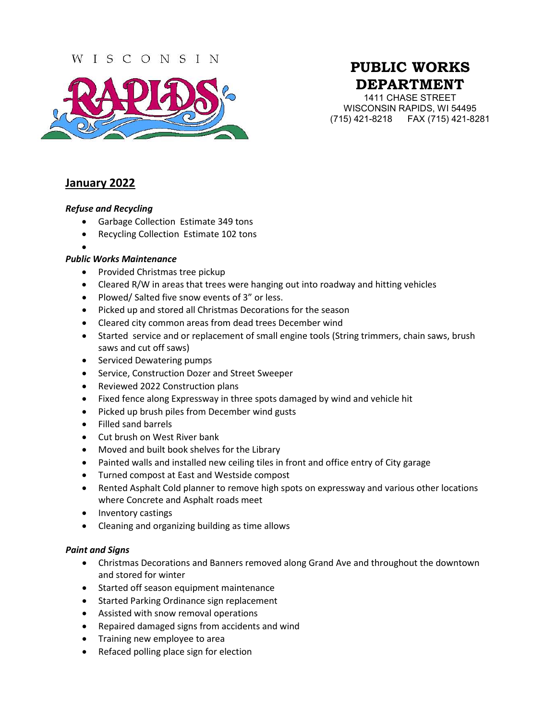# WISCONSIN



# **PUBLIC WORKS DEPARTMENT**

1411 CHASE STREET WISCONSIN RAPIDS, WI 54495 (715) 421-8218 FAX (715) 421-8281

# **January 2022**

#### *Refuse and Recycling*

- Garbage Collection Estimate 349 tons
- Recycling Collection Estimate 102 tons
- •

#### *Public Works Maintenance*

- Provided Christmas tree pickup
- Cleared R/W in areas that trees were hanging out into roadway and hitting vehicles
- Plowed/ Salted five snow events of 3" or less.
- Picked up and stored all Christmas Decorations for the season
- Cleared city common areas from dead trees December wind
- Started service and or replacement of small engine tools (String trimmers, chain saws, brush saws and cut off saws)
- Serviced Dewatering pumps
- Service, Construction Dozer and Street Sweeper
- Reviewed 2022 Construction plans
- Fixed fence along Expressway in three spots damaged by wind and vehicle hit
- Picked up brush piles from December wind gusts
- Filled sand barrels
- Cut brush on West River bank
- Moved and built book shelves for the Library
- Painted walls and installed new ceiling tiles in front and office entry of City garage
- Turned compost at East and Westside compost
- Rented Asphalt Cold planner to remove high spots on expressway and various other locations where Concrete and Asphalt roads meet
- Inventory castings
- Cleaning and organizing building as time allows

### *Paint and Signs*

- Christmas Decorations and Banners removed along Grand Ave and throughout the downtown and stored for winter
- Started off season equipment maintenance
- Started Parking Ordinance sign replacement
- Assisted with snow removal operations
- Repaired damaged signs from accidents and wind
- Training new employee to area
- Refaced polling place sign for election